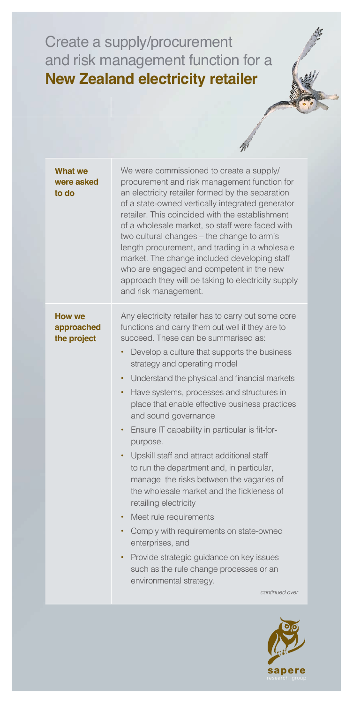## Create a supply/procurement and risk management function for a **New Zealand electricity retailer**

|                                            | 'Mʻ                                                                                                                                                                                                                                                                                                                                                                                                                                                                                                                                                                                                                                                                                                                                                                                                                                                                                                                                                                                   |
|--------------------------------------------|---------------------------------------------------------------------------------------------------------------------------------------------------------------------------------------------------------------------------------------------------------------------------------------------------------------------------------------------------------------------------------------------------------------------------------------------------------------------------------------------------------------------------------------------------------------------------------------------------------------------------------------------------------------------------------------------------------------------------------------------------------------------------------------------------------------------------------------------------------------------------------------------------------------------------------------------------------------------------------------|
| What we<br>were asked<br>to do             | We were commissioned to create a supply/<br>procurement and risk management function for<br>an electricity retailer formed by the separation<br>of a state-owned vertically integrated generator<br>retailer. This coincided with the establishment<br>of a wholesale market, so staff were faced with<br>two cultural changes - the change to arm's<br>length procurement, and trading in a wholesale<br>market. The change included developing staff<br>who are engaged and competent in the new<br>approach they will be taking to electricity supply<br>and risk management.                                                                                                                                                                                                                                                                                                                                                                                                      |
| <b>How we</b><br>approached<br>the project | Any electricity retailer has to carry out some core<br>functions and carry them out well if they are to<br>succeed. These can be summarised as:<br>Develop a culture that supports the business<br>$\bullet$<br>strategy and operating model<br>Understand the physical and financial markets<br>٠<br>Have systems, processes and structures in<br>٠<br>place that enable effective business practices<br>and sound governance<br>Ensure IT capability in particular is fit-for-<br>٠<br>purpose.<br>Upskill staff and attract additional staff<br>$\bullet$ .<br>to run the department and, in particular,<br>manage the risks between the vagaries of<br>the wholesale market and the fickleness of<br>retailing electricity<br>Meet rule requirements<br>$\bullet$<br>Comply with requirements on state-owned<br>enterprises, and<br>Provide strategic guidance on key issues<br>$\bullet$<br>such as the rule change processes or an<br>environmental strategy.<br>continued over |
|                                            |                                                                                                                                                                                                                                                                                                                                                                                                                                                                                                                                                                                                                                                                                                                                                                                                                                                                                                                                                                                       |